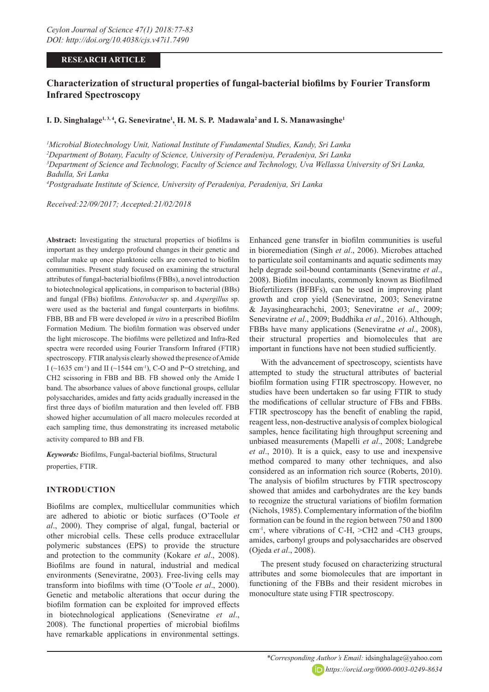# **RESEARCH ARTICLE**

# **Characterization of structural properties of fungal-bacterial biofilms by Fourier Transform Infrared Spectroscopy**

# **I. D. Singhalage<sup>1,3,4</sup>, G. Seneviratne<sup>1</sup>, <b>H. M. S. P. Madawala<sup>2</sup> and I. S. Manawasinghe<sup>1</sup>**

 *Microbial Biotechnology Unit, National Institute of Fundamental Studies, Kandy, Sri Lanka Department of Botany, Faculty of Science, University of Peradeniya, Peradeniya, Sri Lanka Department of Science and Technology, Faculty of Science and Technology, Uva Wellassa University of Sri Lanka, Badulla, Sri Lanka Postgraduate Institute of Science, University of Peradeniya, Peradeniya, Sri Lanka*

*Received:22/09/2017; Accepted:21/02/2018*

**Abstract:** Investigating the structural properties of biofilms is important as they undergo profound changes in their genetic and cellular make up once planktonic cells are converted to biofilm communities. Present study focused on examining the structural attributes of fungal-bacterial biofilms (FBBs), a novel introduction to biotechnological applications, in comparison to bacterial (BBs) and fungal (FBs) biofilms. *Enterobacter* sp. and *Aspergillus* sp. were used as the bacterial and fungal counterparts in biofilms. FBB, BB and FB were developed *in vitro* in a prescribed Biofilm Formation Medium. The biofilm formation was observed under the light microscope. The biofilms were pelletized and Infra-Red spectra were recorded using Fourier Transform Infrared (FTIR) spectroscopy. FTIR analysis clearly showed the presence of Amide I ( $\sim$ 1635 cm<sup>-1</sup>) and II ( $\sim$ 1544 cm<sup>-1</sup>), C-O and P=O stretching, and CH2 scissoring in FBB and BB. FB showed only the Amide I band. The absorbance values of above functional groups, cellular polysaccharides, amides and fatty acids gradually increased in the first three days of biofilm maturation and then leveled off. FBB showed higher accumulation of all macro molecules recorded at each sampling time, thus demonstrating its increased metabolic activity compared to BB and FB.

*Keywords:* Biofilms, Fungal-bacterial biofilms, Structural properties, FTIR.

# **INTRODUCTION**

Biofilms are complex, multicellular communities which are adhered to abiotic or biotic surfaces (O'Toole *et al*., 2000). They comprise of algal, fungal, bacterial or other microbial cells. These cells produce extracellular polymeric substances (EPS) to provide the structure and protection to the community (Kokare *et al*., 2008). Biofilms are found in natural, industrial and medical environments (Seneviratne, 2003). Free-living cells may transform into biofilms with time (O'Toole *et al*., 2000). Genetic and metabolic alterations that occur during the biofilm formation can be exploited for improved effects in biotechnological applications (Seneviratne *et al*., 2008). The functional properties of microbial biofilms have remarkable applications in environmental settings. Enhanced gene transfer in biofilm communities is useful in bioremediation (Singh *et al*., 2006). Microbes attached to particulate soil contaminants and aquatic sediments may help degrade soil-bound contaminants (Seneviratne *et al*., 2008). Biofilm inoculants, commonly known as Biofilmed Biofertilizers (BFBFs), can be used in improving plant growth and crop yield (Seneviratne, 2003; Seneviratne & Jayasinghearachchi, 2003; Seneviratne *et al*., 2009; Seneviratne *et al*., 2009; Buddhika *et al*., 2016). Although, FBBs have many applications (Seneviratne *et al*., 2008), their structural properties and biomolecules that are important in functions have not been studied sufficiently.

With the advancement of spectroscopy, scientists have attempted to study the structural attributes of bacterial biofilm formation using FTIR spectroscopy. However, no studies have been undertaken so far using FTIR to study the modifications of cellular structure of FBs and FBBs. FTIR spectroscopy has the benefit of enabling the rapid, reagent less, non-destructive analysis of complex biological samples, hence facilitating high throughput screening and unbiased measurements (Mapelli *et al*., 2008; Landgrebe *et al*., 2010). It is a quick, easy to use and inexpensive method compared to many other techniques, and also considered as an information rich source (Roberts, 2010). The analysis of biofilm structures by FTIR spectroscopy showed that amides and carbohydrates are the key bands to recognize the structural variations of biofilm formation (Nichols, 1985). Complementary information of the biofilm formation can be found in the region between 750 and 1800 cm-1, where vibrations of C-H, >CH2 and -CH3 groups, amides, carbonyl groups and polysaccharides are observed (Ojeda *et al*., 2008).

The present study focused on characterizing structural attributes and some biomolecules that are important in functioning of the FBBs and their resident microbes in monoculture state using FTIR spectroscopy.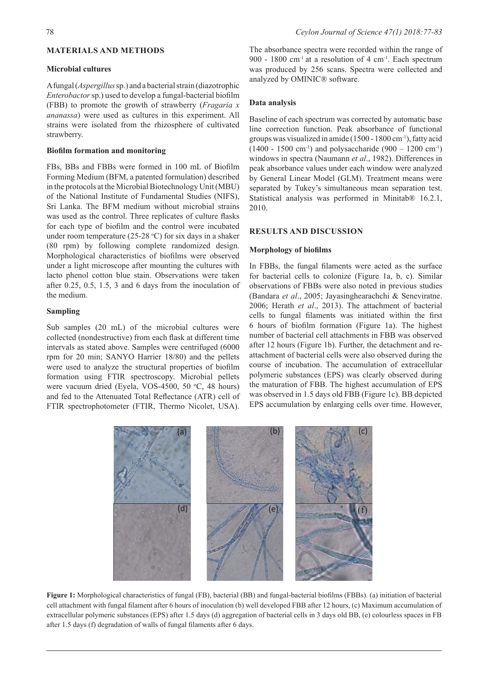# **MATERIALS AND METHODS**

## **Microbial cultures**

A fungal (*Aspergillus* sp.) and a bacterial strain (diazotrophic *Enterobactor* sp.) used to develop a fungal-bacterial biofilm (FBB) to promote the growth of strawberry (*Fragaria x ananassa*) were used as cultures in this experiment. All strains were isolated from the rhizosphere of cultivated strawberry.

### **Biofilm formation and monitoring**

FBs, BBs and FBBs were formed in 100 mL of Biofilm Forming Medium (BFM, a patented formulation) described in the protocols at the Microbial Biotechnology Unit (MBU) of the National Institute of Fundamental Studies (NIFS), Sri Lanka. The BFM medium without microbial strains was used as the control. Three replicates of culture flasks for each type of biofilm and the control were incubated under room temperature  $(25{\text -}28 \text{ °C})$  for six days in a shaker (80 rpm) by following complete randomized design. Morphological characteristics of biofilms were observed under a light microscope after mounting the cultures with lacto phenol cotton blue stain. Observations were taken after 0.25, 0.5, 1.5, 3 and 6 days from the inoculation of the medium.

## **Sampling**

Sub samples (20 mL) of the microbial cultures were collected (nondestructive) from each flask at different time intervals as stated above. Samples were centrifuged (6000 rpm for 20 min; SANYO Harrier 18/80) and the pellets were used to analyze the structural properties of biofilm formation using FTIR spectroscopy. Microbial pellets were vacuum dried (Eyela, VOS-4500, 50 °C, 48 hours) and fed to the Attenuated Total Reflectance (ATR) cell of FTIR spectrophotometer (FTIR, Thermo Nicolet, USA).

The absorbance spectra were recorded within the range of 900 - 1800 cm<sup>-1</sup> at a resolution of 4 cm<sup>-1</sup>. Each spectrum was produced by 256 scans. Spectra were collected and analyzed by OMINIC® software.

## **Data analysis**

Baseline of each spectrum was corrected by automatic base line correction function. Peak absorbance of functional groups was visualized in amide (1500 - 1800 cm-1), fatty acid  $(1400 - 1500 \text{ cm}^{-1})$  and polysaccharide  $(900 - 1200 \text{ cm}^{-1})$ windows in spectra (Naumann *et al*., 1982). Differences in peak absorbance values under each window were analyzed by General Linear Model (GLM). Treatment means were separated by Tukey's simultaneous mean separation test. Statistical analysis was performed in Minitab<sup>®</sup> 16.2.1, 2010.

# **RESULTS AND DISCUSSION**

#### **Morphology of biofilms**

In FBBs, the fungal filaments were acted as the surface for bacterial cells to colonize (Figure 1a, b, c). Similar observations of FBBs were also noted in previous studies (Bandara *et al*., 2005; Jayasinghearachchi & Seneviratne. 2006; Herath *et al*., 2013). The attachment of bacterial cells to fungal filaments was initiated within the first 6 hours of biofilm formation (Figure 1a). The highest number of bacterial cell attachments in FBB was observed after 12 hours (Figure 1b). Further, the detachment and reattachment of bacterial cells were also observed during the course of incubation. The accumulation of extracellular polymeric substances (EPS) was clearly observed during the maturation of FBB. The highest accumulation of EPS was observed in 1.5 days old FBB (Figure 1c). BB depicted EPS accumulation by enlarging cells over time. However,



**Figure 1:** Morphological characteristics of fungal (FB), bacterial (BB) and fungal-bacterial biofilms (FBBs). (a) initiation of bacterial cell attachment with fungal filament after 6 hours of inoculation (b) well developed FBB after 12 hours, (c) Maximum accumulation of extracellular polymeric substances (EPS) after 1.5 days (d) aggregation of bacterial cells in 3 days old BB, (e) colourless spaces in FB after 1.5 days (f) degradation of walls of fungal filaments after 6 days.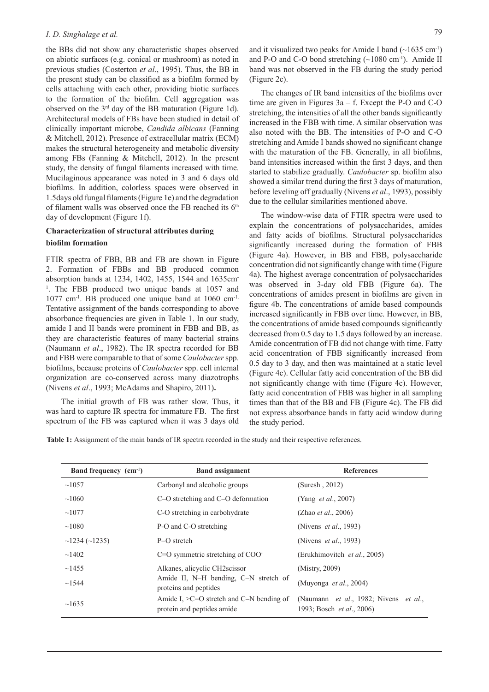### *I. D. Singhalage et al.*

the BBs did not show any characteristic shapes observed on abiotic surfaces (e.g. conical or mushroom) as noted in previous studies (Costerton *et al*., 1995). Thus, the BB in the present study can be classified as a biofilm formed by cells attaching with each other, providing biotic surfaces to the formation of the biofilm. Cell aggregation was observed on the 3rd day of the BB maturation (Figure 1d). Architectural models of FBs have been studied in detail of clinically important microbe, *Candida albicans* (Fanning & Mitchell, 2012). Presence of extracellular matrix (ECM) makes the structural heterogeneity and metabolic diversity among FBs (Fanning & Mitchell, 2012). In the present study, the density of fungal filaments increased with time. Mucilaginous appearance was noted in 3 and 6 days old biofilms. In addition, colorless spaces were observed in 1.5days old fungal filaments (Figure 1e) and the degradation of filament walls was observed once the FB reached its 6<sup>th</sup> day of development (Figure 1f).

# **Characterization of structural attributes during**

# **biofilm formation**

FTIR spectra of FBB, BB and FB are shown in Figure 2. Formation of FBBs and BB produced common absorption bands at 1234, 1402, 1455, 1544 and 1635cm-<sup>1</sup>. The FBB produced two unique bands at 1057 and 1077 cm-1. BB produced one unique band at 1060 cm-1. Tentative assignment of the bands corresponding to above absorbance frequencies are given in Table 1. In our study, amide I and II bands were prominent in FBB and BB, as they are characteristic features of many bacterial strains (Naumann *et al*., 1982). The IR spectra recorded for BB and FBB were comparable to that of some *Caulobacter* spp*.*  biofilms, because proteins of *Caulobacter* spp. cell internal organization are co-conserved across many diazotrophs (Nivens *et al*., 1993; McAdams and Shapiro, 2011)**.**

 The initial growth of FB was rather slow. Thus, it was hard to capture IR spectra for immature FB. The first spectrum of the FB was captured when it was 3 days old and it visualized two peaks for Amide I band  $(\sim 1635 \text{ cm}^{-1})$ and P-O and C-O bond stretching  $(\sim 1080 \text{ cm}^{-1})$ . Amide II band was not observed in the FB during the study period (Figure 2c).

The changes of IR band intensities of the biofilms over time are given in Figures  $3a - f$ . Except the P-O and C-O stretching, the intensities of all the other bands significantly increased in the FBB with time. A similar observation was also noted with the BB. The intensities of P-O and C-O stretching and Amide I bands showed no significant change with the maturation of the FB. Generally, in all biofilms, band intensities increased within the first 3 days, and then started to stabilize gradually. *Caulobacter* sp. biofilm also showed a similar trend during the first 3 days of maturation, before leveling off gradually (Nivens *et al*., 1993), possibly due to the cellular similarities mentioned above.

The window-wise data of FTIR spectra were used to explain the concentrations of polysaccharides, amides and fatty acids of biofilms. Structural polysaccharides significantly increased during the formation of FBB (Figure 4a). However, in BB and FBB, polysaccharide concentration did not significantly change with time (Figure 4a). The highest average concentration of polysaccharides was observed in 3-day old FBB (Figure 6a). The concentrations of amides present in biofilms are given in figure 4b. The concentrations of amide based compounds increased significantly in FBB over time. However, in BB, the concentrations of amide based compounds significantly decreased from 0.5 day to 1.5 days followed by an increase. Amide concentration of FB did not change with time. Fatty acid concentration of FBB significantly increased from 0.5 day to 3 day, and then was maintained at a static level (Figure 4c). Cellular fatty acid concentration of the BB did not significantly change with time (Figure 4c). However, fatty acid concentration of FBB was higher in all sampling times than that of the BB and FB (Figure 4c). The FB did not express absorbance bands in fatty acid window during the study period.

**Table 1:** Assignment of the main bands of IR spectra recorded in the study and their respective references.

| Band frequency (cm <sup>-1</sup> ) | <b>Band assignment</b>                                                       | <b>References</b>                                                  |
|------------------------------------|------------------------------------------------------------------------------|--------------------------------------------------------------------|
| ~1057                              | Carbonyl and alcoholic groups                                                | (Suresh, 2012)                                                     |
| ~1060                              | C-O stretching and C-O deformation                                           | (Yang <i>et al.</i> , 2007)                                        |
| ~1077                              | C-O stretching in carbohydrate                                               | (Zhao <i>et al.</i> , 2006)                                        |
| ~1080                              | P-O and C-O stretching                                                       | (Nivens <i>et al.</i> , 1993)                                      |
| $\sim$ 1234 ( $\sim$ 1235)         | $P=O$ stretch                                                                | (Nivens <i>et al.</i> , 1993)                                      |
| $\sim$ 1402                        | $C=O$ symmetric stretching of $COO$                                          | (Erukhimovitch et al., 2005)                                       |
| ~1455                              | Alkanes, alicyclic CH2scissor                                                | (Mistry, 2009)                                                     |
| ~1544                              | Amide II, N-H bending, C-N stretch of<br>proteins and peptides               | (Muyonga <i>et al.</i> , 2004)                                     |
| ~1635                              | Amide I, $\geq$ C=O stretch and C-N bending of<br>protein and peptides amide | (Naumann et al., 1982; Nivens et al.,<br>1993; Bosch et al., 2006) |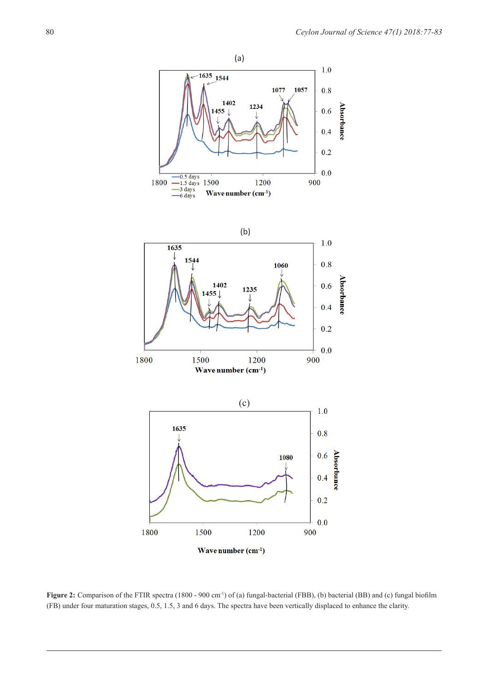

**Figure 2:** Comparison of the FTIR spectra (1800 - 900 cm-1) of (a) fungal-bacterial (FBB), (b) bacterial (BB) and (c) fungal biofilm (FB) under four maturation stages, 0.5, 1.5, 3 and 6 days. The spectra have been vertically displaced to enhance the clarity.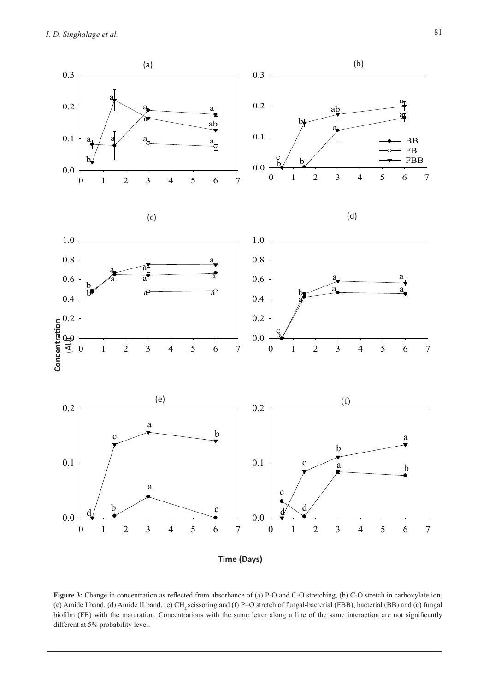*I. D. Singhalage et al.*



**Figure 3:** Change in concentration as reflected from absorbance of (a) P-O and C-O stretching, (b) C-O stretch in carboxylate ion, (c) Amide I band, (d) Amide II band, (e) CH<sub>2</sub> scissoring and (f) P=O stretch of fungal-bacterial (FBB), bacterial (BB) and (c) fungal biofilm (FB) with the maturation. Concentrations with the same letter along a line of the same interaction are not significantly different at 5% probability level.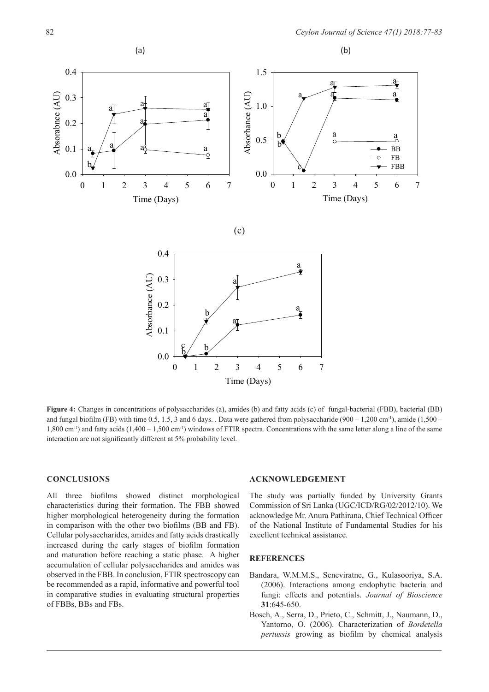

**Figure 4:** Changes in concentrations of polysaccharides (a), amides (b) and fatty acids (c) of fungal-bacterial (FBB), bacterial (BB) and fungal biofilm (FB) with time 0.5, 1.5, 3 and 6 days. . Data were gathered from polysaccharide (900 – 1,200 cm<sup>-1</sup>), amide (1,500 – 1,800 cm-1) and fatty acids (1,400 – 1,500 cm-1) windows of FTIR spectra. Concentrations with the same letter along a line of the same interaction are not significantly different at 5% probability level.

## **CONCLUSIONS**

All three biofilms showed distinct morphological characteristics during their formation. The FBB showed higher morphological heterogeneity during the formation in comparison with the other two biofilms (BB and FB). Cellular polysaccharides, amides and fatty acids drastically increased during the early stages of biofilm formation and maturation before reaching a static phase. A higher accumulation of cellular polysaccharides and amides was observed in the FBB. In conclusion, FTIR spectroscopy can be recommended as a rapid, informative and powerful tool in comparative studies in evaluating structural properties of FBBs, BBs and FBs.

#### **ACKNOWLEDGEMENT**

The study was partially funded by University Grants Commission of Sri Lanka (UGC/ICD/RG/02/2012/10). We acknowledge Mr. Anura Pathirana, Chief Technical Officer of the National Institute of Fundamental Studies for his excellent technical assistance.

#### **REFERENCES**

- Bandara, W.M.M.S., Seneviratne, G., Kulasooriya, S.A. (2006). Interactions among endophytic bacteria and fungi: effects and potentials. *Journal of Bioscience* **31**:645-650.
- Bosch, A., Serra, D., Prieto, C., Schmitt, J., Naumann, D., Yantorno, O. (2006). Characterization of *Bordetella pertussis* growing as biofilm by chemical analysis